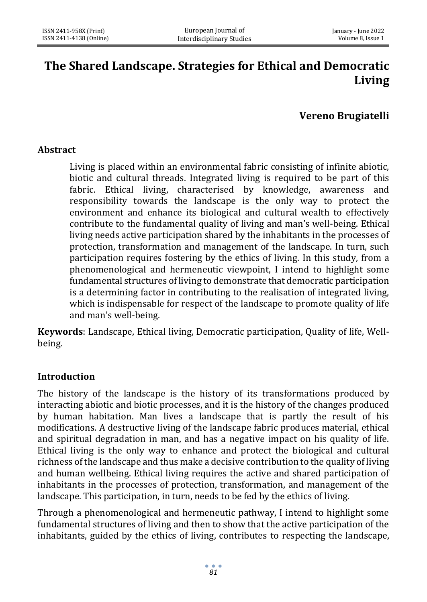# **The Shared Landscape. Strategies for Ethical and Democratic Living**

# **Vereno Brugiatelli**

#### **Abstract**

Living is placed within an environmental fabric consisting of infinite abiotic, biotic and cultural threads. Integrated living is required to be part of this fabric. Ethical living, characterised by knowledge, awareness and responsibility towards the landscape is the only way to protect the environment and enhance its biological and cultural wealth to effectively contribute to the fundamental quality of living and man's well-being. Ethical living needs active participation shared by the inhabitants in the processes of protection, transformation and management of the landscape. In turn, such participation requires fostering by the ethics of living. In this study, from a phenomenological and hermeneutic viewpoint, I intend to highlight some fundamental structures of living to demonstrate that democratic participation is a determining factor in contributing to the realisation of integrated living, which is indispensable for respect of the landscape to promote quality of life and man's well-being.

**Keywords**: Landscape, Ethical living, Democratic participation, Quality of life, Wellbeing.

#### **Introduction**

The history of the landscape is the history of its transformations produced by interacting abiotic and biotic processes, and it is the history of the changes produced by human habitation. Man lives a landscape that is partly the result of his modifications. A destructive living of the landscape fabric produces material, ethical and spiritual degradation in man, and has a negative impact on his quality of life. Ethical living is the only way to enhance and protect the biological and cultural richness of the landscape and thus make a decisive contribution to the quality of living and human wellbeing. Ethical living requires the active and shared participation of inhabitants in the processes of protection, transformation, and management of the landscape. This participation, in turn, needs to be fed by the ethics of living.

Through a phenomenological and hermeneutic pathway, I intend to highlight some fundamental structures of living and then to show that the active participation of the inhabitants, guided by the ethics of living, contributes to respecting the landscape,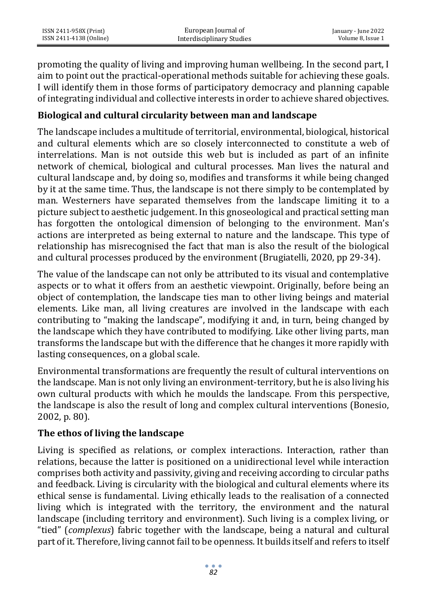promoting the quality of living and improving human wellbeing. In the second part, I aim to point out the practical-operational methods suitable for achieving these goals. I will identify them in those forms of participatory democracy and planning capable of integrating individual and collective interests in order to achieve shared objectives.

### **Biological and cultural circularity between man and landscape**

The landscape includes a multitude of territorial, environmental, biological, historical and cultural elements which are so closely interconnected to constitute a web of interrelations. Man is not outside this web but is included as part of an infinite network of chemical, biological and cultural processes. Man lives the natural and cultural landscape and, by doing so, modifies and transforms it while being changed by it at the same time. Thus, the landscape is not there simply to be contemplated by man. Westerners have separated themselves from the landscape limiting it to a picture subject to aesthetic judgement. In this gnoseological and practical setting man has forgotten the ontological dimension of belonging to the environment. Man's actions are interpreted as being external to nature and the landscape. This type of relationship has misrecognised the fact that man is also the result of the biological and cultural processes produced by the environment (Brugiatelli, 2020, pp 29-34).

The value of the landscape can not only be attributed to its visual and contemplative aspects or to what it offers from an aesthetic viewpoint. Originally, before being an object of contemplation, the landscape ties man to other living beings and material elements. Like man, all living creatures are involved in the landscape with each contributing to "making the landscape", modifying it and, in turn, being changed by the landscape which they have contributed to modifying. Like other living parts, man transforms the landscape but with the difference that he changes it more rapidly with lasting consequences, on a global scale.

Environmental transformations are frequently the result of cultural interventions on the landscape. Man is not only living an environment-territory, but he is also living his own cultural products with which he moulds the landscape. From this perspective, the landscape is also the result of long and complex cultural interventions (Bonesio, 2002, p. 80).

#### **The ethos of living the landscape**

Living is specified as relations, or complex interactions. Interaction, rather than relations, because the latter is positioned on a unidirectional level while interaction comprises both activity and passivity, giving and receiving according to circular paths and feedback. Living is circularity with the biological and cultural elements where its ethical sense is fundamental. Living ethically leads to the realisation of a connected living which is integrated with the territory, the environment and the natural landscape (including territory and environment). Such living is a complex living, or "tied" (*complexus*) fabric together with the landscape, being a natural and cultural part of it. Therefore, living cannot fail to be openness. It builds itself and refers to itself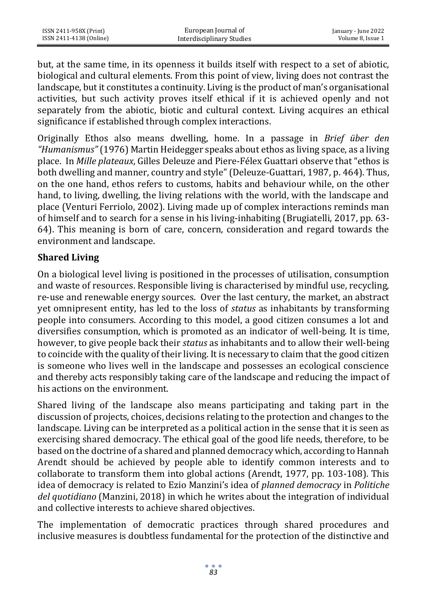but, at the same time, in its openness it builds itself with respect to a set of abiotic, biological and cultural elements. From this point of view, living does not contrast the landscape, but it constitutes a continuity. Living is the product of man's organisational activities, but such activity proves itself ethical if it is achieved openly and not separately from the abiotic, biotic and cultural context. Living acquires an ethical significance if established through complex interactions.

Originally Ethos also means dwelling, home. In a passage in *Brief über den "Humanismus"* (1976) Martin Heidegger speaks about ethos as living space, as a living place. In *Mille plateaux*, Gilles Deleuze and Piere-Félex Guattari observe that "ethos is both dwelling and manner, country and style" (Deleuze-Guattari, 1987, p. 464). Thus, on the one hand, ethos refers to customs, habits and behaviour while, on the other hand, to living, dwelling, the living relations with the world, with the landscape and place (Venturi Ferriolo, 2002). Living made up of complex interactions reminds man of himself and to search for a sense in his living-inhabiting (Brugiatelli, 2017, pp. 63- 64). This meaning is born of care, concern, consideration and regard towards the environment and landscape.

## **Shared Living**

On a biological level living is positioned in the processes of utilisation, consumption and waste of resources. Responsible living is characterised by mindful use, recycling, re-use and renewable energy sources. Over the last century, the market, an abstract yet omnipresent entity, has led to the loss of *status* as inhabitants by transforming people into consumers. According to this model, a good citizen consumes a lot and diversifies consumption, which is promoted as an indicator of well-being. It is time, however, to give people back their *status* as inhabitants and to allow their well-being to coincide with the quality of their living. It is necessary to claim that the good citizen is someone who lives well in the landscape and possesses an ecological conscience and thereby acts responsibly taking care of the landscape and reducing the impact of his actions on the environment.

Shared living of the landscape also means participating and taking part in the discussion of projects, choices, decisions relating to the protection and changes to the landscape. Living can be interpreted as a political action in the sense that it is seen as exercising shared democracy. The ethical goal of the good life needs, therefore, to be based on the doctrine of a shared and planned democracy which, according to Hannah Arendt should be achieved by people able to identify common interests and to collaborate to transform them into global actions (Arendt, 1977, pp. 103-108). This idea of democracy is related to Ezio Manzini's idea of *planned democracy* in *Politiche del quotidiano* (Manzini, 2018) in which he writes about the integration of individual and collective interests to achieve shared objectives.

The implementation of democratic practices through shared procedures and inclusive measures is doubtless fundamental for the protection of the distinctive and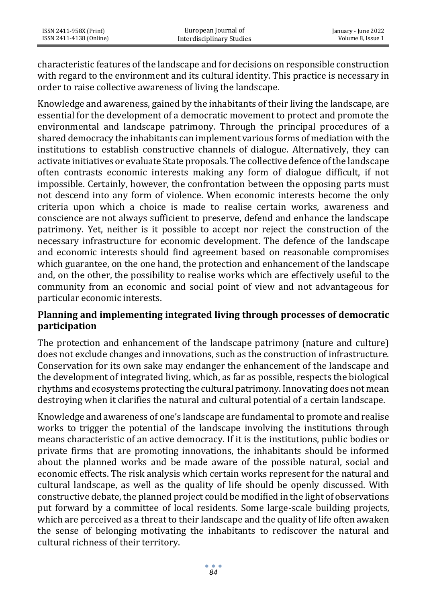characteristic features of the landscape and for decisions on responsible construction with regard to the environment and its cultural identity. This practice is necessary in order to raise collective awareness of living the landscape.

Knowledge and awareness, gained by the inhabitants of their living the landscape, are essential for the development of a democratic movement to protect and promote the environmental and landscape patrimony. Through the principal procedures of a shared democracy the inhabitants can implement various forms of mediation with the institutions to establish constructive channels of dialogue. Alternatively, they can activate initiatives or evaluate State proposals. The collective defence of the landscape often contrasts economic interests making any form of dialogue difficult, if not impossible. Certainly, however, the confrontation between the opposing parts must not descend into any form of violence. When economic interests become the only criteria upon which a choice is made to realise certain works, awareness and conscience are not always sufficient to preserve, defend and enhance the landscape patrimony. Yet, neither is it possible to accept nor reject the construction of the necessary infrastructure for economic development. The defence of the landscape and economic interests should find agreement based on reasonable compromises which guarantee, on the one hand, the protection and enhancement of the landscape and, on the other, the possibility to realise works which are effectively useful to the community from an economic and social point of view and not advantageous for particular economic interests.

#### **Planning and implementing integrated living through processes of democratic participation**

The protection and enhancement of the landscape patrimony (nature and culture) does not exclude changes and innovations, such as the construction of infrastructure. Conservation for its own sake may endanger the enhancement of the landscape and the development of integrated living, which, as far as possible, respects the biological rhythms and ecosystems protecting the cultural patrimony. Innovating does not mean destroying when it clarifies the natural and cultural potential of a certain landscape.

Knowledge and awareness of one's landscape are fundamental to promote and realise works to trigger the potential of the landscape involving the institutions through means characteristic of an active democracy. If it is the institutions, public bodies or private firms that are promoting innovations, the inhabitants should be informed about the planned works and be made aware of the possible natural, social and economic effects. The risk analysis which certain works represent for the natural and cultural landscape, as well as the quality of life should be openly discussed. With constructive debate, the planned project could be modified in the light of observations put forward by a committee of local residents. Some large-scale building projects, which are perceived as a threat to their landscape and the quality of life often awaken the sense of belonging motivating the inhabitants to rediscover the natural and cultural richness of their territory.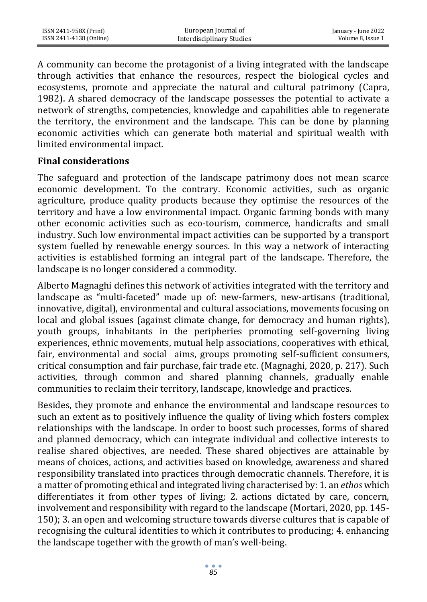A community can become the protagonist of a living integrated with the landscape through activities that enhance the resources, respect the biological cycles and ecosystems, promote and appreciate the natural and cultural patrimony (Capra, 1982). A shared democracy of the landscape possesses the potential to activate a network of strengths, competencies, knowledge and capabilities able to regenerate the territory, the environment and the landscape. This can be done by planning economic activities which can generate both material and spiritual wealth with limited environmental impact.

#### **Final considerations**

The safeguard and protection of the landscape patrimony does not mean scarce economic development. To the contrary. Economic activities, such as organic agriculture, produce quality products because they optimise the resources of the territory and have a low environmental impact. Organic farming bonds with many other economic activities such as eco-tourism, commerce, handicrafts and small industry. Such low environmental impact activities can be supported by a transport system fuelled by renewable energy sources. In this way a network of interacting activities is established forming an integral part of the landscape. Therefore, the landscape is no longer considered a commodity.

Alberto Magnaghi defines this network of activities integrated with the territory and landscape as "multi-faceted" made up of: new-farmers, new-artisans (traditional, innovative, digital), environmental and cultural associations, movements focusing on local and global issues (against climate change, for democracy and human rights), youth groups, inhabitants in the peripheries promoting self-governing living experiences, ethnic movements, mutual help associations, cooperatives with ethical, fair, environmental and social aims, groups promoting self-sufficient consumers, critical consumption and fair purchase, fair trade etc. (Magnaghi, 2020, p. 217). Such activities, through common and shared planning channels, gradually enable communities to reclaim their territory, landscape, knowledge and practices.

Besides, they promote and enhance the environmental and landscape resources to such an extent as to positively influence the quality of living which fosters complex relationships with the landscape. In order to boost such processes, forms of shared and planned democracy, which can integrate individual and collective interests to realise shared objectives, are needed. These shared objectives are attainable by means of choices, actions, and activities based on knowledge, awareness and shared responsibility translated into practices through democratic channels. Therefore, it is a matter of promoting ethical and integrated living characterised by: 1. an *ethos* which differentiates it from other types of living; 2. actions dictated by care, concern, involvement and responsibility with regard to the landscape (Mortari, 2020, pp. 145- 150); 3. an open and welcoming structure towards diverse cultures that is capable of recognising the cultural identities to which it contributes to producing; 4. enhancing the landscape together with the growth of man's well-being.